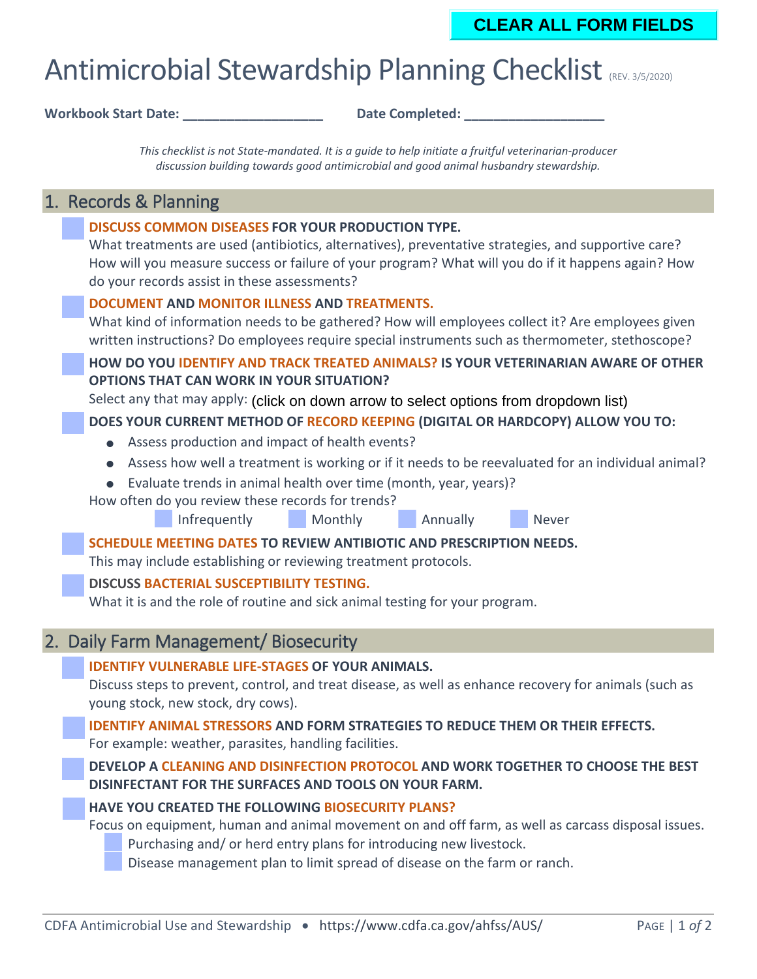# Antimicrobial Stewardship Planning Checklist (REV. 3/5/2020)

Workbook Start Date: \_\_\_\_\_\_\_\_\_\_\_\_\_\_\_\_\_\_\_\_\_\_\_\_\_\_\_\_\_\_\_\_\_\_Date Completed:

*This checklist is not State-mandated. It is a guide to help initiate a fruitful veterinarian-producer discussion building towards good antimicrobial and good animal husbandry stewardship.* 

## How will you measure success or failure of your program? What will you do if it happens again? How do your records assist in these assessments? What kind of information needs to be gathered? How will employees collect it? Are employees given written instructions? Do employees require special instruments such as thermometer, stethoscope? This may include establishing or reviewing treatment protocols. What it is and the role of routine and sick animal testing for your program. Focus on equipment, human and animal movement on and off farm, as well as carcass disposal issues. 1. Records & Planning **DISCUSS COMMON DISEASES FOR YOUR PRODUCTION TYPE.** What treatments are used (antibiotics, alternatives), preventative strategies, and supportive care? **DOCUMENT AND MONITOR ILLNESS AND TREATMENTS. HOW DO YOU IDENTIFY AND TRACK TREATED ANIMALS? IS YOUR VETERINARIAN AWARE OF OTHER OPTIONS THAT CAN WORK IN YOUR SITUATION?**  Select any that may apply: (click on down arrow to select options from dropdown list) **DOES YOUR CURRENT METHOD OF RECORD KEEPING (DIGITAL OR HARDCOPY) ALLOW YOU TO:** • Assess production and impact of health events? • Assess how well a treatment is working or if it needs to be reevaluated for an individual animal? • Evaluate trends in animal health over time (month, year, years)? How often do you review these records for trends? Infrequently Monthly Annually Never **SCHEDULE MEETING DATES TO REVIEW ANTIBIOTIC AND PRESCRIPTION NEEDS. DISCUSS BACTERIAL SUSCEPTIBILITY TESTING.** 2. Daily Farm Management/ Biosecurity **IDENTIFY VULNERABLE LIFE-STAGES OF YOUR ANIMALS.** Discuss steps to prevent, control, and treat disease, as well as enhance recovery for animals (such as young stock, new stock, dry cows). **IDENTIFY ANIMAL STRESSORS AND FORM STRATEGIES TO REDUCE THEM OR THEIR EFFECTS.** For example: weather, parasites, handling facilities. **DEVELOP A CLEANING AND DISINFECTION PROTOCOL AND WORK TOGETHER TO CHOOSE THE BEST DISINFECTANT FOR THE SURFACES AND TOOLS ON YOUR FARM. HAVE YOU CREATED THE FOLLOWING BIOSECURITY PLANS?**

**Purchasing and/ or herd entry plans for introducing new livestock.** 

Disease management plan to limit spread of disease on the farm or ranch.